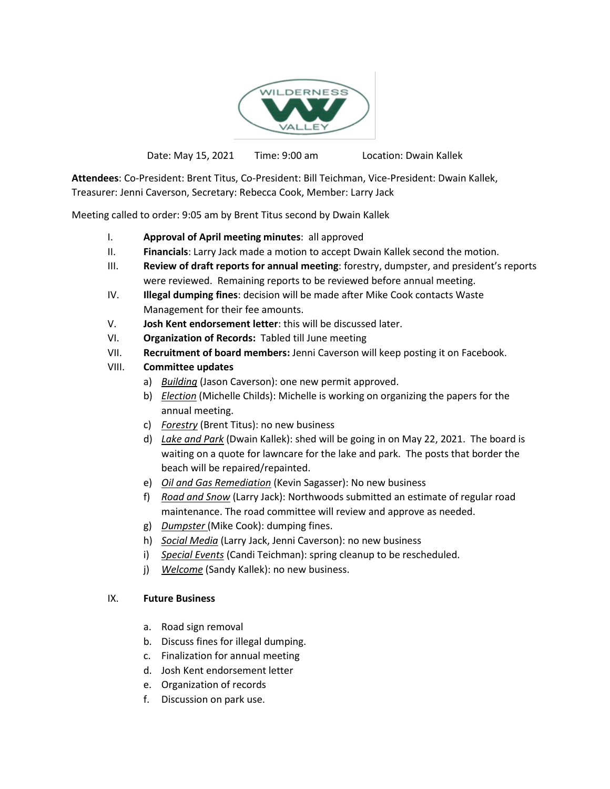

Date: May 15, 2021 Time: 9:00 am Location: Dwain Kallek

**Attendees**: Co-President: Brent Titus, Co-President: Bill Teichman, Vice-President: Dwain Kallek, Treasurer: Jenni Caverson, Secretary: Rebecca Cook, Member: Larry Jack

Meeting called to order: 9:05 am by Brent Titus second by Dwain Kallek

- I. **Approval of April meeting minutes**: all approved
- II. **Financials**: Larry Jack made a motion to accept Dwain Kallek second the motion.
- III. **Review of draft reports for annual meeting**: forestry, dumpster, and president's reports were reviewed. Remaining reports to be reviewed before annual meeting.
- IV. **Illegal dumping fines**: decision will be made after Mike Cook contacts Waste Management for their fee amounts.
- V. **Josh Kent endorsement letter**: this will be discussed later.
- VI. **Organization of Records:** Tabled till June meeting
- VII. **Recruitment of board members:** Jenni Caverson will keep posting it on Facebook.
- VIII. **Committee updates**
	- a) *Building* (Jason Caverson): one new permit approved.
	- b) *Election* (Michelle Childs): Michelle is working on organizing the papers for the annual meeting.
	- c) *Forestry* (Brent Titus): no new business
	- d) *Lake and Park* (Dwain Kallek): shed will be going in on May 22, 2021. The board is waiting on a quote for lawncare for the lake and park. The posts that border the beach will be repaired/repainted.
	- e) *Oil and Gas Remediation* (Kevin Sagasser): No new business
	- f) *Road and Snow* (Larry Jack): Northwoods submitted an estimate of regular road maintenance. The road committee will review and approve as needed.
	- g) *Dumpster* (Mike Cook): dumping fines.
	- h) *Social Media* (Larry Jack, Jenni Caverson): no new business
	- i) *Special Events* (Candi Teichman): spring cleanup to be rescheduled.
	- j) *Welcome* (Sandy Kallek): no new business.

## IX. **Future Business**

- a. Road sign removal
- b. Discuss fines for illegal dumping.
- c. Finalization for annual meeting
- d. Josh Kent endorsement letter
- e. Organization of records
- f. Discussion on park use.